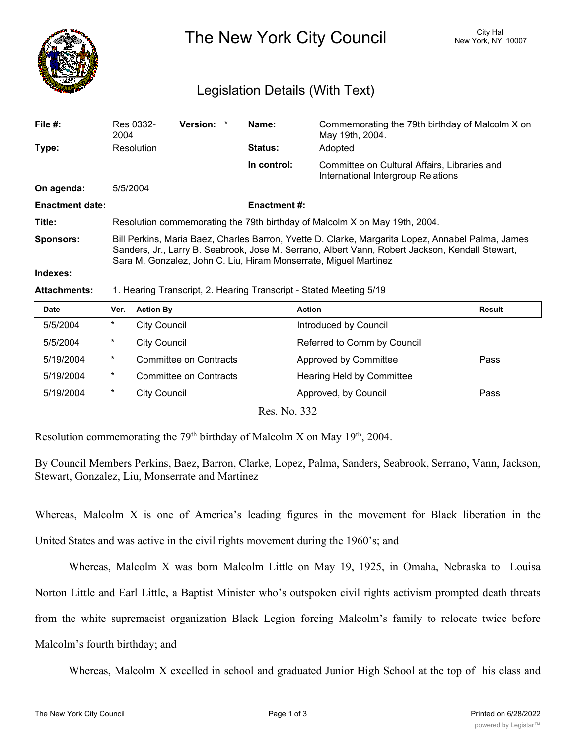

The New York City Council New York, NY 10007

## Legislation Details (With Text)

| File #:                | Res 0332-                                                                                                                                                                                                                                                                | Version: * |  | Name:          | Commemorating the 79th birthday of Malcolm X on                                    |  |  |
|------------------------|--------------------------------------------------------------------------------------------------------------------------------------------------------------------------------------------------------------------------------------------------------------------------|------------|--|----------------|------------------------------------------------------------------------------------|--|--|
|                        | 2004                                                                                                                                                                                                                                                                     |            |  |                | May 19th, 2004.                                                                    |  |  |
| Type:                  | Resolution                                                                                                                                                                                                                                                               |            |  | <b>Status:</b> | Adopted                                                                            |  |  |
|                        |                                                                                                                                                                                                                                                                          |            |  | In control:    | Committee on Cultural Affairs, Libraries and<br>International Intergroup Relations |  |  |
| On agenda:             | 5/5/2004                                                                                                                                                                                                                                                                 |            |  |                |                                                                                    |  |  |
| <b>Enactment date:</b> | <b>Enactment #:</b>                                                                                                                                                                                                                                                      |            |  |                |                                                                                    |  |  |
| Title:                 | Resolution commemorating the 79th birthday of Malcolm X on May 19th, 2004.                                                                                                                                                                                               |            |  |                |                                                                                    |  |  |
| <b>Sponsors:</b>       | Bill Perkins, Maria Baez, Charles Barron, Yvette D. Clarke, Margarita Lopez, Annabel Palma, James<br>Sanders, Jr., Larry B. Seabrook, Jose M. Serrano, Albert Vann, Robert Jackson, Kendall Stewart,<br>Sara M. Gonzalez, John C. Liu, Hiram Monserrate, Miguel Martinez |            |  |                |                                                                                    |  |  |
| Indexes:               |                                                                                                                                                                                                                                                                          |            |  |                |                                                                                    |  |  |

## **Attachments:** 1. Hearing Transcript, 2. Hearing Transcript - Stated Meeting 5/19

| <b>Date</b> | Ver.     | <b>Action By</b>              |                              | <b>Action</b>                      | Result |
|-------------|----------|-------------------------------|------------------------------|------------------------------------|--------|
| 5/5/2004    | $\ast$   | <b>City Council</b>           |                              | Introduced by Council              |        |
| 5/5/2004    | *        | <b>City Council</b>           |                              | Referred to Comm by Council        |        |
| 5/19/2004   | $\ast$   | Committee on Contracts        |                              | Approved by Committee              | Pass   |
| 5/19/2004   | $^\star$ | <b>Committee on Contracts</b> |                              | Hearing Held by Committee          |        |
| 5/19/2004   | $\ast$   | <b>City Council</b>           |                              | Approved, by Council               | Pass   |
|             |          |                               | $\mathbf{r}$<br>$\mathbf{r}$ | $\mathbf{a} \mathbf{a} \mathbf{b}$ |        |

Res. No. 332

Resolution commemorating the  $79<sup>th</sup>$  birthday of Malcolm X on May 19<sup>th</sup>, 2004.

By Council Members Perkins, Baez, Barron, Clarke, Lopez, Palma, Sanders, Seabrook, Serrano, Vann, Jackson, Stewart, Gonzalez, Liu, Monserrate and Martinez

Whereas, Malcolm X is one of America's leading figures in the movement for Black liberation in the

United States and was active in the civil rights movement during the 1960's; and

Whereas, Malcolm X was born Malcolm Little on May 19, 1925, in Omaha, Nebraska to Louisa

Norton Little and Earl Little, a Baptist Minister who's outspoken civil rights activism prompted death threats

from the white supremacist organization Black Legion forcing Malcolm's family to relocate twice before

Malcolm's fourth birthday; and

Whereas, Malcolm X excelled in school and graduated Junior High School at the top of his class and